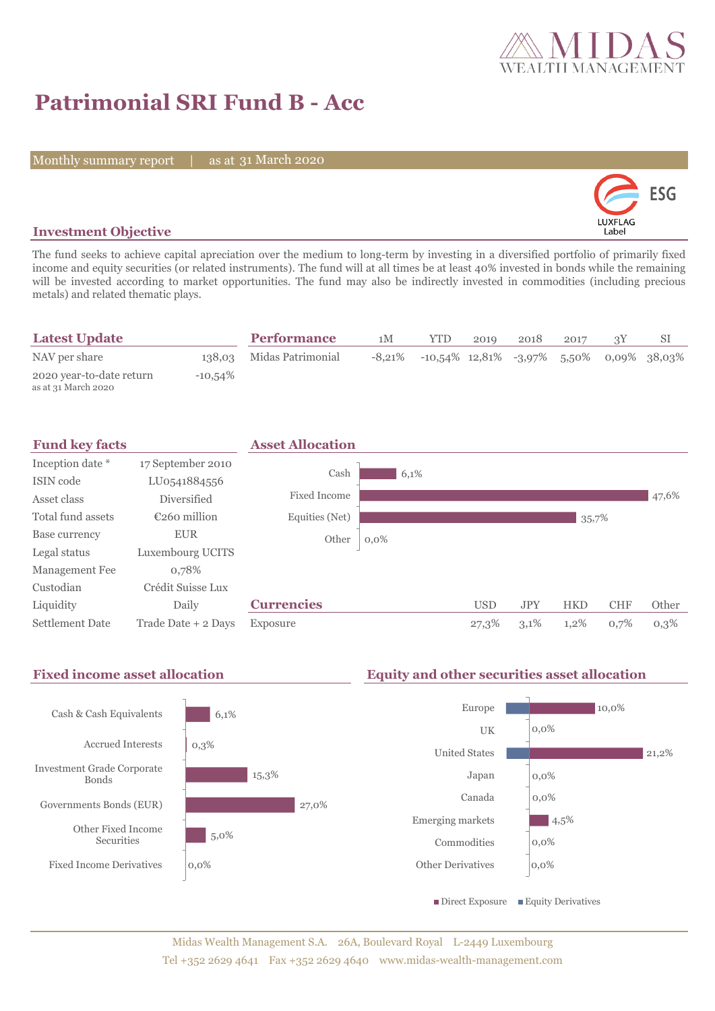

## **Patrimonial SRI Fund B - Acc**

Monthly summary report | as at 31 March 2020



## **Investment Objective**

The fund seeks to achieve capital apreciation over the medium to long-term by investing in a diversified portfolio of primarily fixed income and equity securities (or related instruments). The fund will at all times be at least 40% invested in bonds while the remaining will be invested according to market opportunities. The fund may also be indirectly invested in commodities (including precious metals) and related thematic plays.

| <b>Latest Update</b>                            |            | <b>Performance</b>       | 1M | YTD                                                                  | 2019 | 2018 | 2017 |  |
|-------------------------------------------------|------------|--------------------------|----|----------------------------------------------------------------------|------|------|------|--|
| NAV per share                                   |            | 138,03 Midas Patrimonial |    | $-8,21\%$ $-10,54\%$ $12,81\%$ $-3,97\%$ $5,50\%$ $0,09\%$ $38,03\%$ |      |      |      |  |
| 2020 year-to-date return<br>as at 31 March 2020 | $-10,54\%$ |                          |    |                                                                      |      |      |      |  |



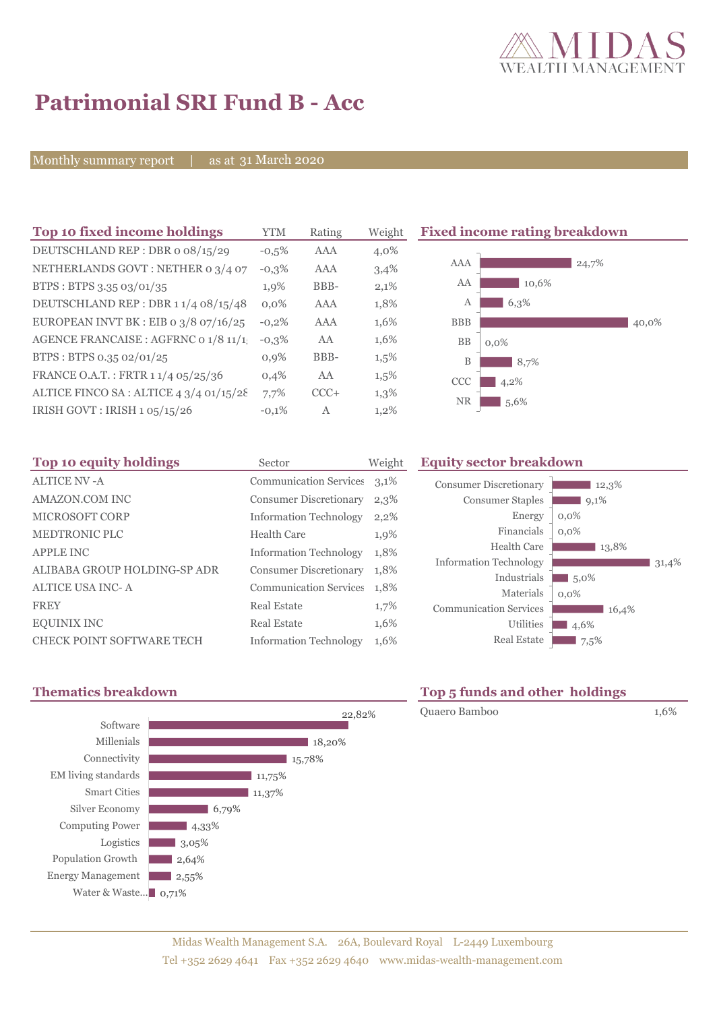

# **Patrimonial SRI Fund B - Acc**

Monthly summary report | as at 31 March 2020

| Top 10 fixed income holdings           | <b>YTM</b> | Rating | Weight  |
|----------------------------------------|------------|--------|---------|
| DEUTSCHLAND REP: DBR o 08/15/29        | $-0.5%$    | AAA    | 4,0%    |
| NETHERLANDS GOVT: NETHER 0 3/4 07      | $-0,3%$    | AAA    | 3,4%    |
| BTPS: BTPS 3.35 03/01/35               | 1,9%       | BBB-   | 2,1%    |
| DEUTSCHLAND REP: DBR 11/4 08/15/48     | $0.0\%$    | AAA    | 1,8%    |
| EUROPEAN INVT BK : EIB o 3/8 07/16/25  | $-0,2%$    | AAA    | 1,6%    |
| AGENCE FRANCAISE : AGFRNC 0 1/8 11/1   | $-0.3%$    | AA     | 1,6%    |
| BTPS: BTPS 0.35 02/01/25               | 0,9%       | BBB-   | 1,5%    |
| FRANCE O.A.T.: FRTR 1 1/4 05/25/36     | 0,4%       | AA     | $1,5\%$ |
| ALTICE FINCO SA: ALTICE 4 3/4 01/15/28 | 7,7%       | $CCC+$ | 1,3%    |
| IRISH GOVT: IRISH 1 05/15/26           | $-0.1%$    | A      | 1,2%    |

**Fixed income rating breakdown** 



| Top 10 equity holdings           | Sector                        | Weight |
|----------------------------------|-------------------------------|--------|
| <b>ALTICE NV-A</b>               | <b>Communication Services</b> | 3,1%   |
| <b>AMAZON.COM INC</b>            | <b>Consumer Discretionary</b> | 2,3%   |
| <b>MICROSOFT CORP</b>            | <b>Information Technology</b> | 2,2%   |
| <b>MEDTRONIC PLC</b>             | Health Care                   | 1,9%   |
| <b>APPLE INC</b>                 | <b>Information Technology</b> | 1,8%   |
| ALIBABA GROUP HOLDING-SP ADR     | <b>Consumer Discretionary</b> | 1,8%   |
| <b>ALTICE USA INC-A</b>          | <b>Communication Services</b> | 1,8%   |
| <b>FREY</b>                      | Real Estate                   | 1,7%   |
| <b>EQUINIX INC</b>               | Real Estate                   | 1,6%   |
| <b>CHECK POINT SOFTWARE TECH</b> | <b>Information Technology</b> | 1,6%   |

### **Equity sector breakdown**

| <b>Consumer Discretionary</b> | 12,3%   |
|-------------------------------|---------|
| <b>Consumer Staples</b>       | 9,1%    |
| Energy                        | $0,0\%$ |
| Financials                    | $0.0\%$ |
| Health Care                   | 13,8%   |
| <b>Information Technology</b> | 31,4%   |
| Industrials                   | 5.0%    |
| Materials                     | $0.0\%$ |
| <b>Communication Services</b> | 16,4%   |
| <b>Utilities</b>              | 4,6%    |
| <b>Real Estate</b>            | 7,5%    |





## **Thematics breakdown Top 5 funds and other holdings**

Quaero Bamboo 1,6%